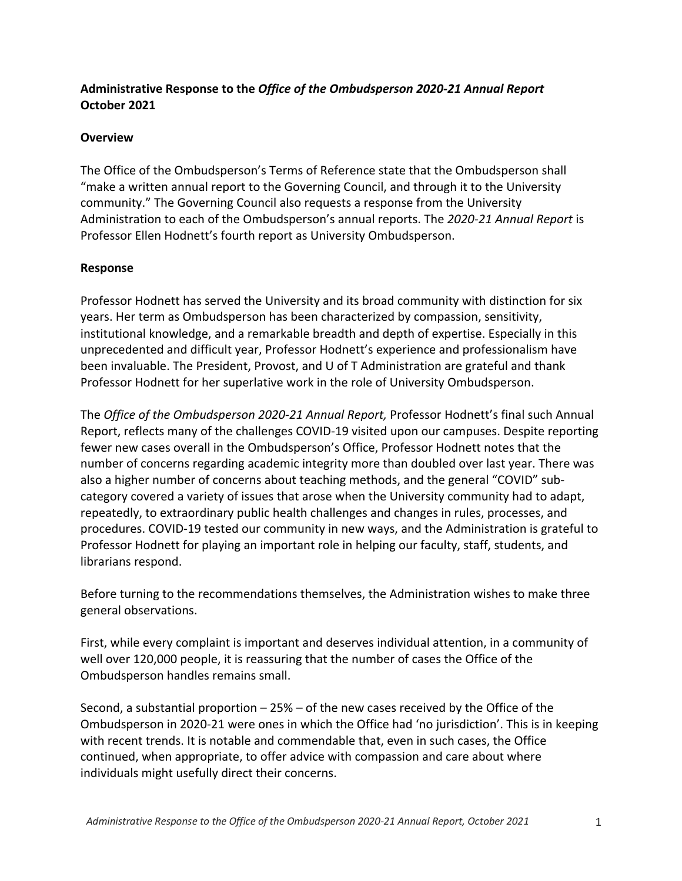### **Administrative Response to the** *Office of the Ombudsperson 2020-21 Annual Report*  **October 2021**

#### **Overview**

The Office of the Ombudsperson's Terms of Reference state that the Ombudsperson shall "make a written annual report to the Governing Council, and through it to the University community." The Governing Council also requests a response from the University Administration to each of the Ombudsperson's annual reports. The *2020-21 Annual Report* is Professor Ellen Hodnett's fourth report as University Ombudsperson.

#### **Response**

Professor Hodnett has served the University and its broad community with distinction for six years. Her term as Ombudsperson has been characterized by compassion, sensitivity, institutional knowledge, and a remarkable breadth and depth of expertise. Especially in this unprecedented and difficult year, Professor Hodnett's experience and professionalism have been invaluable. The President, Provost, and U of T Administration are grateful and thank Professor Hodnett for her superlative work in the role of University Ombudsperson.

The *Office of the Ombudsperson 2020-21 Annual Report,* Professor Hodnett's final such Annual Report, reflects many of the challenges COVID-19 visited upon our campuses. Despite reporting fewer new cases overall in the Ombudsperson's Office, Professor Hodnett notes that the number of concerns regarding academic integrity more than doubled over last year. There was also a higher number of concerns about teaching methods, and the general "COVID" subcategory covered a variety of issues that arose when the University community had to adapt, repeatedly, to extraordinary public health challenges and changes in rules, processes, and procedures. COVID-19 tested our community in new ways, and the Administration is grateful to Professor Hodnett for playing an important role in helping our faculty, staff, students, and librarians respond.

Before turning to the recommendations themselves, the Administration wishes to make three general observations.

First, while every complaint is important and deserves individual attention, in a community of well over 120,000 people, it is reassuring that the number of cases the Office of the Ombudsperson handles remains small.

Second, a substantial proportion – 25% – of the new cases received by the Office of the Ombudsperson in 2020-21 were ones in which the Office had 'no jurisdiction'. This is in keeping with recent trends. It is notable and commendable that, even in such cases, the Office continued, when appropriate, to offer advice with compassion and care about where individuals might usefully direct their concerns.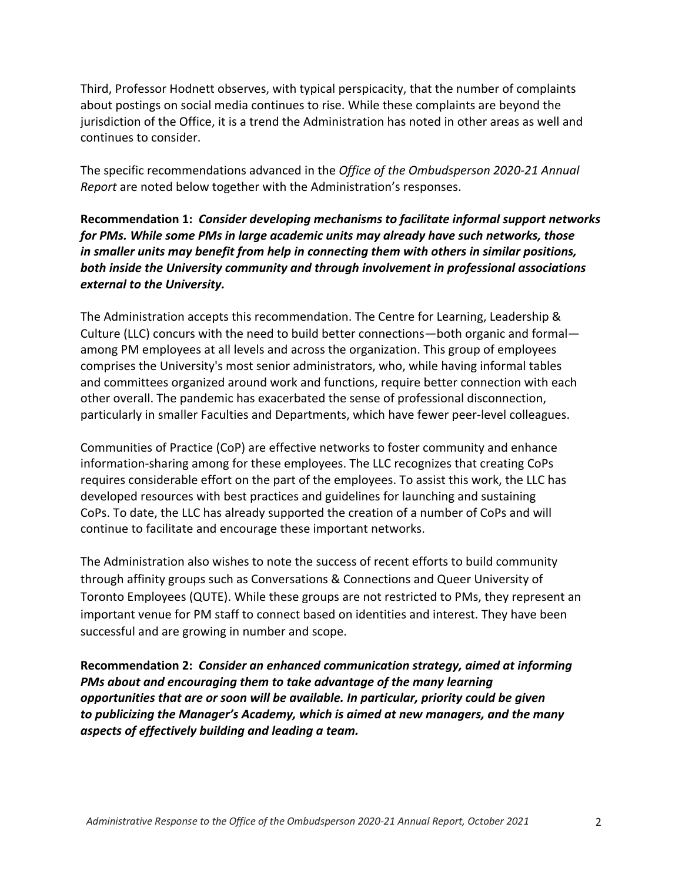Third, Professor Hodnett observes, with typical perspicacity, that the number of complaints about postings on social media continues to rise. While these complaints are beyond the jurisdiction of the Office, it is a trend the Administration has noted in other areas as well and continues to consider.

The specific recommendations advanced in the *Office of the Ombudsperson 2020-21 Annual Report* are noted below together with the Administration's responses.

**Recommendation 1:** *Consider developing mechanisms to facilitate informal support networks for PMs. While some PMs in large academic units may already have such networks, those in smaller units may benefit from help in connecting them with others in similar positions, both inside the University community and through involvement in professional associations external to the University.*

The Administration accepts this recommendation. The Centre for Learning, Leadership & Culture (LLC) concurs with the need to build better connections—both organic and formal among PM employees at all levels and across the organization. This group of employees comprises the University's most senior administrators, who, while having informal tables and committees organized around work and functions, require better connection with each other overall. The pandemic has exacerbated the sense of professional disconnection, particularly in smaller Faculties and Departments, which have fewer peer-level colleagues.

Communities of Practice (CoP) are effective networks to foster community and enhance information-sharing among for these employees. The LLC recognizes that creating CoPs requires considerable effort on the part of the employees. To assist this work, the LLC has developed resources with best practices and guidelines for launching and sustaining CoPs. To date, the LLC has already supported the creation of a number of CoPs and will continue to facilitate and encourage these important networks.

The Administration also wishes to note the success of recent efforts to build community through affinity groups such as Conversations & Connections and Queer University of Toronto Employees (QUTE). While these groups are not restricted to PMs, they represent an important venue for PM staff to connect based on identities and interest. They have been successful and are growing in number and scope.

**Recommendation 2:** *Consider an enhanced communication strategy, aimed at informing PMs about and encouraging them to take advantage of the many learning opportunities that are or soon will be available. In particular, priority could be given to publicizing the Manager's Academy, which is aimed at new managers, and the many aspects of effectively building and leading a team.*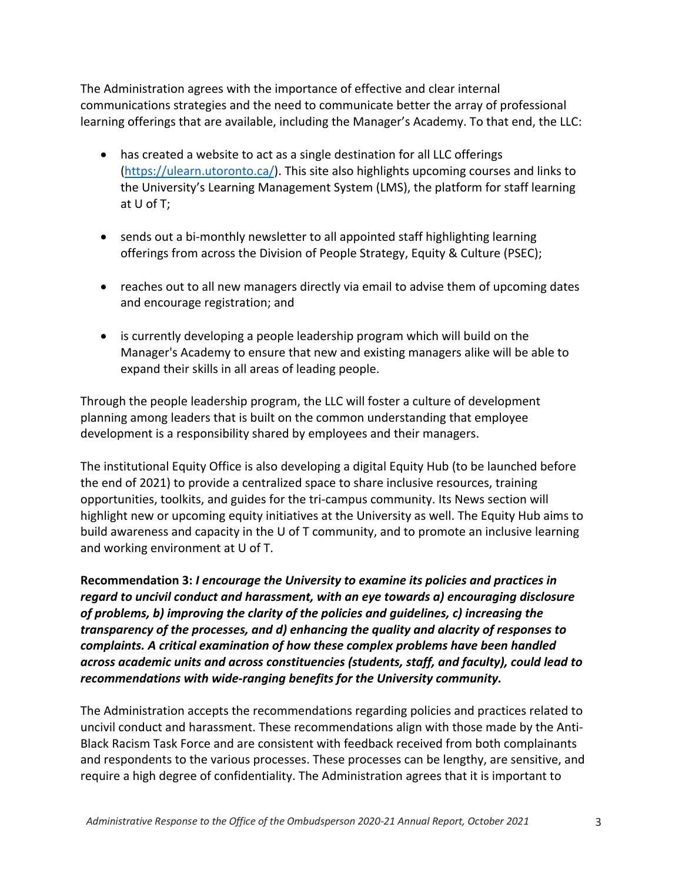The Administration agrees with the importance of effective and clear internal communications strategies and the need to communicate better the array of professional learning offerings that are available, including the Manager's Academy. To that end, the LLC:

- has created a website to act as a single destination for all LLC offerings (https://ulearn.utoronto.ca/). This site also highlights upcoming courses and links to the University's Learning Management System (LMS), the platform for staff learning at U of T;
- sends out a bi-monthly newsletter to all appointed staff highlighting learning offerings from across the Division of People Strategy, Equity & Culture (PSEC);
- reaches out to all new managers directly via email to advise them of upcoming dates and encourage registration; and
- is currently developing a people leadership program which will build on the Manager's Academy to ensure that new and existing managers alike will be able to expand their skills in all areas of leading people.

Through the people leadership program, the LLC will foster a culture of development planning among leaders that is built on the common understanding that employee development is a responsibility shared by employees and their managers.

The institutional Equity Office is also developing a digital Equity Hub (to be launched before the end of 2021) to provide a centralized space to share inclusive resources, training opportunities, toolkits, and guides for the tri-campus community. Its News section will highlight new or upcoming equity initiatives at the University as well. The Equity Hub aims to build awareness and capacity in the U of T community, and to promote an inclusive learning and working environment at U of T.

**Recommendation 3:** *I encourage the University to examine its policies and practices in regard to uncivil conduct and harassment, with an eye towards a) encouraging disclosure of problems, b) improving the clarity of the policies and guidelines, c) increasing the transparency of the processes, and d) enhancing the quality and alacrity of responses to complaints. A critical examination of how these complex problems have been handled across academic units and across constituencies (students, staff, and faculty), could lead to recommendations with wide-ranging benefits for the University community.*

The Administration accepts the recommendations regarding policies and practices related to uncivil conduct and harassment. These recommendations align with those made by the Anti-Black Racism Task Force and are consistent with feedback received from both complainants and respondents to the various processes. These processes can be lengthy, are sensitive, and require a high degree of confidentiality. The Administration agrees that it is important to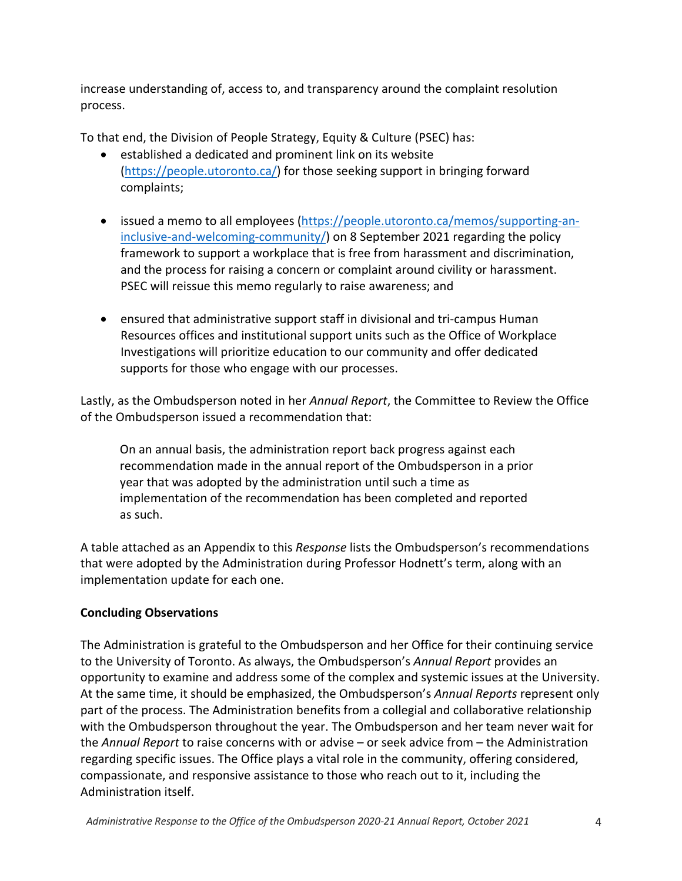increase understanding of, access to, and transparency around the complaint resolution process.

To that end, the Division of People Strategy, Equity & Culture (PSEC) has:

- established a dedicated and prominent link on its website (https://people.utoronto.ca/) for those seeking support in bringing forward complaints;
- issued a memo to all employees (https://people.utoronto.ca/memos/supporting-aninclusive-and-welcoming-community/) on 8 September 2021 regarding the policy framework to support a workplace that is free from harassment and discrimination, and the process for raising a concern or complaint around civility or harassment. PSEC will reissue this memo regularly to raise awareness; and
- ensured that administrative support staff in divisional and tri-campus Human Resources offices and institutional support units such as the Office of Workplace Investigations will prioritize education to our community and offer dedicated supports for those who engage with our processes.

Lastly, as the Ombudsperson noted in her *Annual Report*, the Committee to Review the Office of the Ombudsperson issued a recommendation that:

On an annual basis, the administration report back progress against each recommendation made in the annual report of the Ombudsperson in a prior year that was adopted by the administration until such a time as implementation of the recommendation has been completed and reported as such.

A table attached as an Appendix to this *Response* lists the Ombudsperson's recommendations that were adopted by the Administration during Professor Hodnett's term, along with an implementation update for each one.

## **Concluding Observations**

The Administration is grateful to the Ombudsperson and her Office for their continuing service to the University of Toronto. As always, the Ombudsperson's *Annual Report* provides an opportunity to examine and address some of the complex and systemic issues at the University. At the same time, it should be emphasized, the Ombudsperson's *Annual Reports* represent only part of the process. The Administration benefits from a collegial and collaborative relationship with the Ombudsperson throughout the year. The Ombudsperson and her team never wait for the *Annual Report* to raise concerns with or advise – or seek advice from – the Administration regarding specific issues. The Office plays a vital role in the community, offering considered, compassionate, and responsive assistance to those who reach out to it, including the Administration itself.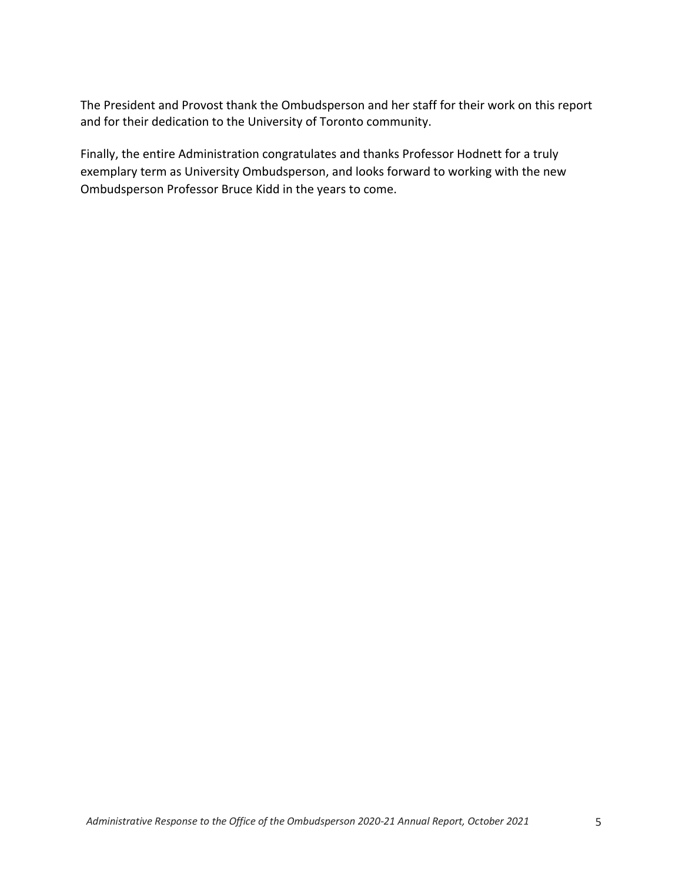The President and Provost thank the Ombudsperson and her staff for their work on this report and for their dedication to the University of Toronto community.

Finally, the entire Administration congratulates and thanks Professor Hodnett for a truly exemplary term as University Ombudsperson, and looks forward to working with the new Ombudsperson Professor Bruce Kidd in the years to come.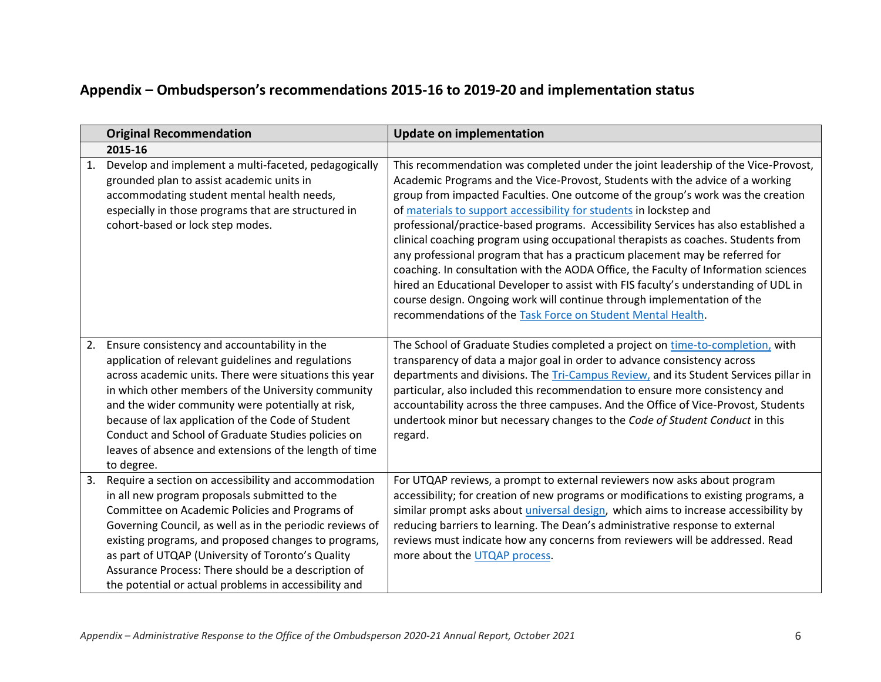# **Appendix – Ombudsperson's recommendations 2015-16 to 2019-20 and implementation status**

|    | <b>Original Recommendation</b>                                                                                                                                                                                                                                                                                                                                                                                                                             | <b>Update on implementation</b>                                                                                                                                                                                                                                                                                                                                                                                                                                                                                                                                                                                                                                                                                                                                                                                                                                                                                |
|----|------------------------------------------------------------------------------------------------------------------------------------------------------------------------------------------------------------------------------------------------------------------------------------------------------------------------------------------------------------------------------------------------------------------------------------------------------------|----------------------------------------------------------------------------------------------------------------------------------------------------------------------------------------------------------------------------------------------------------------------------------------------------------------------------------------------------------------------------------------------------------------------------------------------------------------------------------------------------------------------------------------------------------------------------------------------------------------------------------------------------------------------------------------------------------------------------------------------------------------------------------------------------------------------------------------------------------------------------------------------------------------|
|    | 2015-16                                                                                                                                                                                                                                                                                                                                                                                                                                                    |                                                                                                                                                                                                                                                                                                                                                                                                                                                                                                                                                                                                                                                                                                                                                                                                                                                                                                                |
|    | Develop and implement a multi-faceted, pedagogically<br>grounded plan to assist academic units in<br>accommodating student mental health needs,<br>especially in those programs that are structured in<br>cohort-based or lock step modes.                                                                                                                                                                                                                 | This recommendation was completed under the joint leadership of the Vice-Provost,<br>Academic Programs and the Vice-Provost, Students with the advice of a working<br>group from impacted Faculties. One outcome of the group's work was the creation<br>of materials to support accessibility for students in lockstep and<br>professional/practice-based programs. Accessibility Services has also established a<br>clinical coaching program using occupational therapists as coaches. Students from<br>any professional program that has a practicum placement may be referred for<br>coaching. In consultation with the AODA Office, the Faculty of Information sciences<br>hired an Educational Developer to assist with FIS faculty's understanding of UDL in<br>course design. Ongoing work will continue through implementation of the<br>recommendations of the Task Force on Student Mental Health. |
| 2. | Ensure consistency and accountability in the<br>application of relevant guidelines and regulations<br>across academic units. There were situations this year<br>in which other members of the University community<br>and the wider community were potentially at risk,<br>because of lax application of the Code of Student<br>Conduct and School of Graduate Studies policies on<br>leaves of absence and extensions of the length of time<br>to degree. | The School of Graduate Studies completed a project on time-to-completion, with<br>transparency of data a major goal in order to advance consistency across<br>departments and divisions. The Tri-Campus Review, and its Student Services pillar in<br>particular, also included this recommendation to ensure more consistency and<br>accountability across the three campuses. And the Office of Vice-Provost, Students<br>undertook minor but necessary changes to the Code of Student Conduct in this<br>regard.                                                                                                                                                                                                                                                                                                                                                                                            |
| 3. | Require a section on accessibility and accommodation<br>in all new program proposals submitted to the<br>Committee on Academic Policies and Programs of<br>Governing Council, as well as in the periodic reviews of<br>existing programs, and proposed changes to programs,<br>as part of UTQAP (University of Toronto's Quality<br>Assurance Process: There should be a description of<br>the potential or actual problems in accessibility and           | For UTQAP reviews, a prompt to external reviewers now asks about program<br>accessibility; for creation of new programs or modifications to existing programs, a<br>similar prompt asks about <i>universal design</i> , which aims to increase accessibility by<br>reducing barriers to learning. The Dean's administrative response to external<br>reviews must indicate how any concerns from reviewers will be addressed. Read<br>more about the UTQAP process.                                                                                                                                                                                                                                                                                                                                                                                                                                             |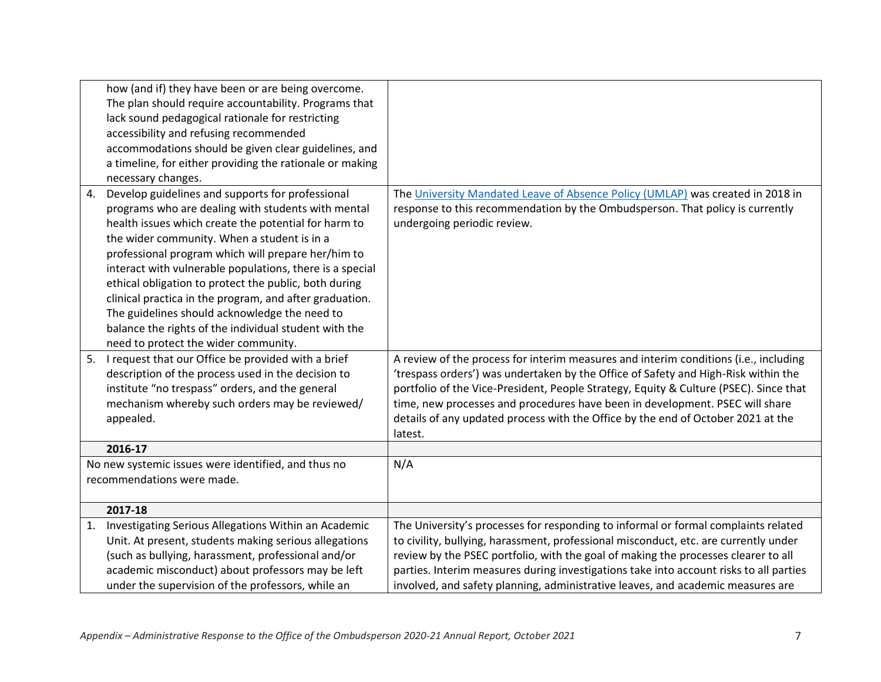|                            | how (and if) they have been or are being overcome.<br>The plan should require accountability. Programs that<br>lack sound pedagogical rationale for restricting |                                                                                        |
|----------------------------|-----------------------------------------------------------------------------------------------------------------------------------------------------------------|----------------------------------------------------------------------------------------|
|                            | accessibility and refusing recommended                                                                                                                          |                                                                                        |
|                            | accommodations should be given clear guidelines, and                                                                                                            |                                                                                        |
|                            | a timeline, for either providing the rationale or making                                                                                                        |                                                                                        |
|                            | necessary changes.                                                                                                                                              |                                                                                        |
| 4.                         | Develop guidelines and supports for professional                                                                                                                | The University Mandated Leave of Absence Policy (UMLAP) was created in 2018 in         |
|                            | programs who are dealing with students with mental                                                                                                              | response to this recommendation by the Ombudsperson. That policy is currently          |
|                            | health issues which create the potential for harm to                                                                                                            | undergoing periodic review.                                                            |
|                            | the wider community. When a student is in a                                                                                                                     |                                                                                        |
|                            | professional program which will prepare her/him to                                                                                                              |                                                                                        |
|                            | interact with vulnerable populations, there is a special                                                                                                        |                                                                                        |
|                            | ethical obligation to protect the public, both during                                                                                                           |                                                                                        |
|                            | clinical practica in the program, and after graduation.                                                                                                         |                                                                                        |
|                            | The guidelines should acknowledge the need to                                                                                                                   |                                                                                        |
|                            | balance the rights of the individual student with the                                                                                                           |                                                                                        |
|                            | need to protect the wider community.                                                                                                                            |                                                                                        |
| 5.                         | I request that our Office be provided with a brief                                                                                                              | A review of the process for interim measures and interim conditions (i.e., including   |
|                            | description of the process used in the decision to                                                                                                              | 'trespass orders') was undertaken by the Office of Safety and High-Risk within the     |
|                            | institute "no trespass" orders, and the general                                                                                                                 | portfolio of the Vice-President, People Strategy, Equity & Culture (PSEC). Since that  |
|                            | mechanism whereby such orders may be reviewed/                                                                                                                  | time, new processes and procedures have been in development. PSEC will share           |
|                            | appealed.                                                                                                                                                       | details of any updated process with the Office by the end of October 2021 at the       |
|                            |                                                                                                                                                                 | latest.                                                                                |
|                            | 2016-17                                                                                                                                                         |                                                                                        |
|                            | No new systemic issues were identified, and thus no                                                                                                             | N/A                                                                                    |
| recommendations were made. |                                                                                                                                                                 |                                                                                        |
|                            |                                                                                                                                                                 |                                                                                        |
|                            | 2017-18                                                                                                                                                         |                                                                                        |
| 1.                         | Investigating Serious Allegations Within an Academic                                                                                                            | The University's processes for responding to informal or formal complaints related     |
|                            | Unit. At present, students making serious allegations                                                                                                           | to civility, bullying, harassment, professional misconduct, etc. are currently under   |
|                            | (such as bullying, harassment, professional and/or                                                                                                              | review by the PSEC portfolio, with the goal of making the processes clearer to all     |
|                            | academic misconduct) about professors may be left                                                                                                               | parties. Interim measures during investigations take into account risks to all parties |
|                            | under the supervision of the professors, while an                                                                                                               | involved, and safety planning, administrative leaves, and academic measures are        |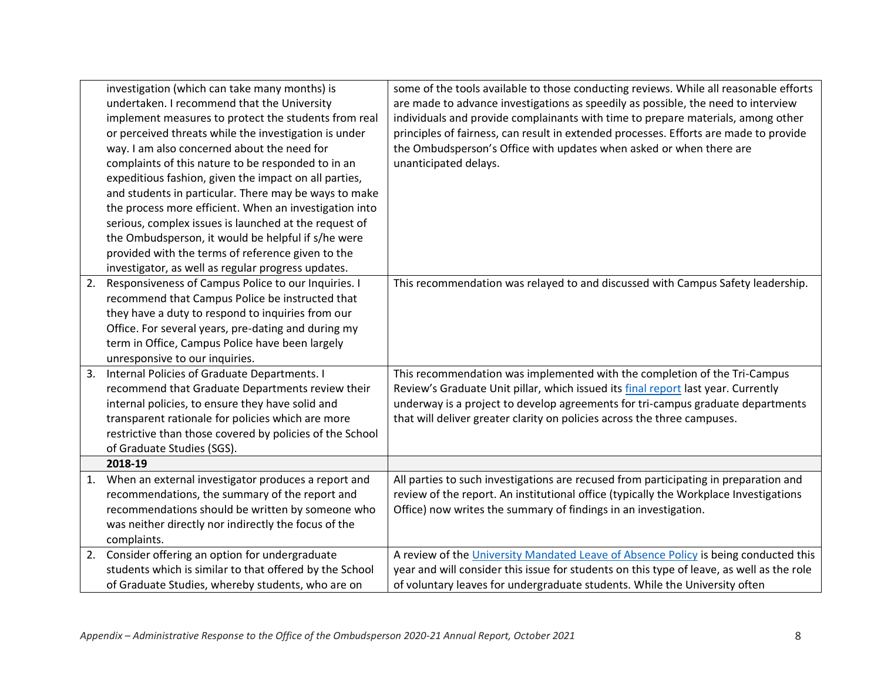|    | investigation (which can take many months) is            | some of the tools available to those conducting reviews. While all reasonable efforts     |
|----|----------------------------------------------------------|-------------------------------------------------------------------------------------------|
|    | undertaken. I recommend that the University              | are made to advance investigations as speedily as possible, the need to interview         |
|    | implement measures to protect the students from real     | individuals and provide complainants with time to prepare materials, among other          |
|    | or perceived threats while the investigation is under    | principles of fairness, can result in extended processes. Efforts are made to provide     |
|    | way. I am also concerned about the need for              | the Ombudsperson's Office with updates when asked or when there are                       |
|    | complaints of this nature to be responded to in an       | unanticipated delays.                                                                     |
|    | expeditious fashion, given the impact on all parties,    |                                                                                           |
|    | and students in particular. There may be ways to make    |                                                                                           |
|    | the process more efficient. When an investigation into   |                                                                                           |
|    | serious, complex issues is launched at the request of    |                                                                                           |
|    | the Ombudsperson, it would be helpful if s/he were       |                                                                                           |
|    | provided with the terms of reference given to the        |                                                                                           |
|    | investigator, as well as regular progress updates.       |                                                                                           |
| 2. | Responsiveness of Campus Police to our Inquiries. I      | This recommendation was relayed to and discussed with Campus Safety leadership.           |
|    | recommend that Campus Police be instructed that          |                                                                                           |
|    | they have a duty to respond to inquiries from our        |                                                                                           |
|    | Office. For several years, pre-dating and during my      |                                                                                           |
|    | term in Office, Campus Police have been largely          |                                                                                           |
|    | unresponsive to our inquiries.                           |                                                                                           |
| 3. | Internal Policies of Graduate Departments. I             | This recommendation was implemented with the completion of the Tri-Campus                 |
|    | recommend that Graduate Departments review their         | Review's Graduate Unit pillar, which issued its final report last year. Currently         |
|    | internal policies, to ensure they have solid and         | underway is a project to develop agreements for tri-campus graduate departments           |
|    | transparent rationale for policies which are more        | that will deliver greater clarity on policies across the three campuses.                  |
|    | restrictive than those covered by policies of the School |                                                                                           |
|    | of Graduate Studies (SGS).                               |                                                                                           |
|    | 2018-19                                                  |                                                                                           |
| 1. | When an external investigator produces a report and      | All parties to such investigations are recused from participating in preparation and      |
|    | recommendations, the summary of the report and           | review of the report. An institutional office (typically the Workplace Investigations     |
|    | recommendations should be written by someone who         | Office) now writes the summary of findings in an investigation.                           |
|    | was neither directly nor indirectly the focus of the     |                                                                                           |
|    | complaints.                                              |                                                                                           |
| 2. | Consider offering an option for undergraduate            | A review of the University Mandated Leave of Absence Policy is being conducted this       |
|    | students which is similar to that offered by the School  | year and will consider this issue for students on this type of leave, as well as the role |
|    | of Graduate Studies, whereby students, who are on        | of voluntary leaves for undergraduate students. While the University often                |